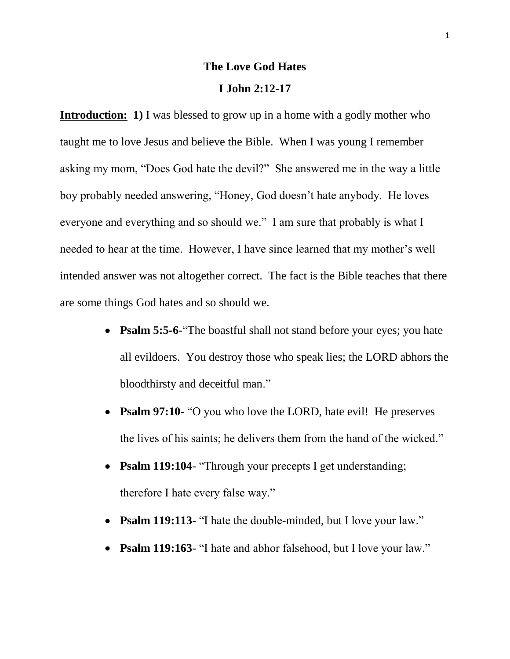## **The Love God Hates**

## **I John 2:12-17**

**Introduction:** 1) I was blessed to grow up in a home with a godly mother who taught me to love Jesus and believe the Bible. When I was young I remember asking my mom, "Does God hate the devil?" She answered me in the way a little boy probably needed answering, "Honey, God doesn't hate anybody. He loves everyone and everything and so should we." I am sure that probably is what I needed to hear at the time. However, I have since learned that my mother's well intended answer was not altogether correct. The fact is the Bible teaches that there are some things God hates and so should we.

- **Psalm 5:5-6**-"The boastful shall not stand before your eyes; you hate all evildoers. You destroy those who speak lies; the LORD abhors the bloodthirsty and deceitful man."
- **Psalm 97:10** "O you who love the LORD, hate evil! He preserves the lives of his saints; he delivers them from the hand of the wicked."
- **Psalm 119:104** "Through your precepts I get understanding;  $\bullet$ therefore I hate every false way."
- **Psalm 119:113** "I hate the double-minded, but I love your law."
- **Psalm 119:163** "I hate and abhor falsehood, but I love your law."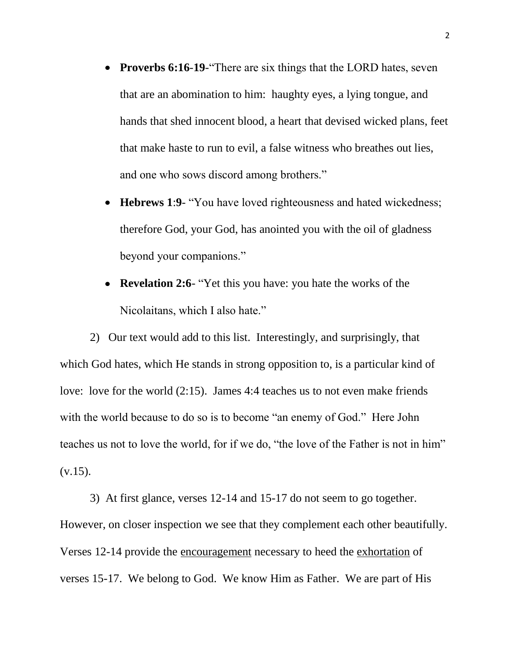- **Proverbs 6:16-19-** There are six things that the LORD hates, seven that are an abomination to him: haughty eyes, a lying tongue, and hands that shed innocent blood, a heart that devised wicked plans, feet that make haste to run to evil, a false witness who breathes out lies, and one who sows discord among brothers."
- **Hebrews 1**:**9** "You have loved righteousness and hated wickedness; therefore God, your God, has anointed you with the oil of gladness beyond your companions."
- **Revelation 2:6** "Yet this you have: you hate the works of the Nicolaitans, which I also hate."

2) Our text would add to this list. Interestingly, and surprisingly, that which God hates, which He stands in strong opposition to, is a particular kind of love: love for the world (2:15). James 4:4 teaches us to not even make friends with the world because to do so is to become "an enemy of God." Here John teaches us not to love the world, for if we do, "the love of the Father is not in him"  $(v.15)$ .

3) At first glance, verses 12-14 and 15-17 do not seem to go together. However, on closer inspection we see that they complement each other beautifully. Verses 12-14 provide the encouragement necessary to heed the exhortation of verses 15-17. We belong to God. We know Him as Father. We are part of His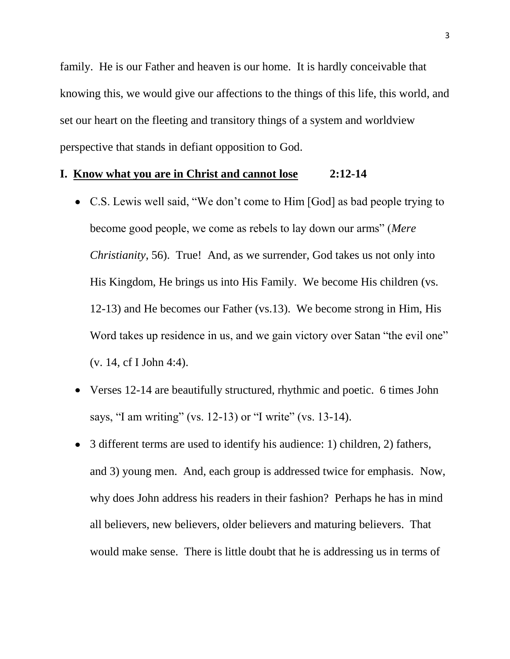family. He is our Father and heaven is our home. It is hardly conceivable that knowing this, we would give our affections to the things of this life, this world, and set our heart on the fleeting and transitory things of a system and worldview perspective that stands in defiant opposition to God.

## **I. Know what you are in Christ and cannot lose 2:12-14**

- C.S. Lewis well said, "We don't come to Him [God] as bad people trying to become good people, we come as rebels to lay down our arms" (*Mere Christianity*, 56). True! And, as we surrender, God takes us not only into His Kingdom, He brings us into His Family. We become His children (vs. 12-13) and He becomes our Father (vs.13). We become strong in Him, His Word takes up residence in us, and we gain victory over Satan "the evil one" (v. 14, cf I John 4:4).
- Verses 12-14 are beautifully structured, rhythmic and poetic. 6 times John says, "I am writing" (vs. 12-13) or "I write" (vs. 13-14).
- 3 different terms are used to identify his audience: 1) children, 2) fathers, and 3) young men. And, each group is addressed twice for emphasis. Now, why does John address his readers in their fashion? Perhaps he has in mind all believers, new believers, older believers and maturing believers. That would make sense. There is little doubt that he is addressing us in terms of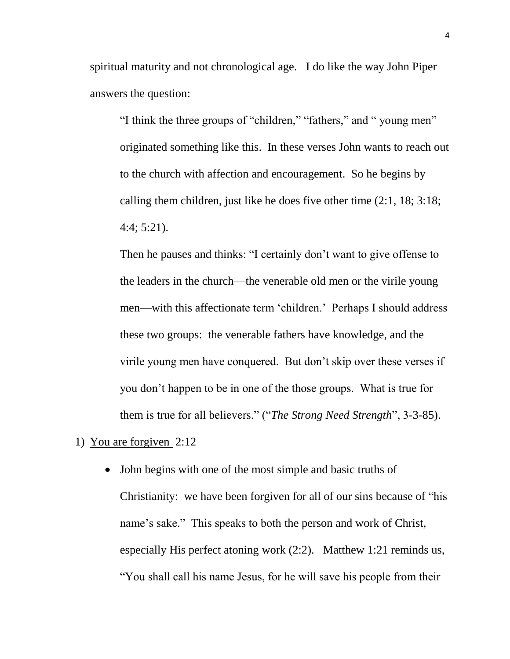spiritual maturity and not chronological age. I do like the way John Piper answers the question:

"I think the three groups of "children," "fathers," and " young men" originated something like this. In these verses John wants to reach out to the church with affection and encouragement. So he begins by calling them children, just like he does five other time (2:1, 18; 3:18; 4:4; 5:21).

Then he pauses and thinks: "I certainly don't want to give offense to the leaders in the church—the venerable old men or the virile young men—with this affectionate term 'children.' Perhaps I should address these two groups: the venerable fathers have knowledge, and the virile young men have conquered. But don't skip over these verses if you don't happen to be in one of the those groups. What is true for them is true for all believers." ("*The Strong Need Strength*", 3-3-85).

1) You are forgiven 2:12

• John begins with one of the most simple and basic truths of Christianity: we have been forgiven for all of our sins because of "his name's sake." This speaks to both the person and work of Christ, especially His perfect atoning work (2:2). Matthew 1:21 reminds us, "You shall call his name Jesus, for he will save his people from their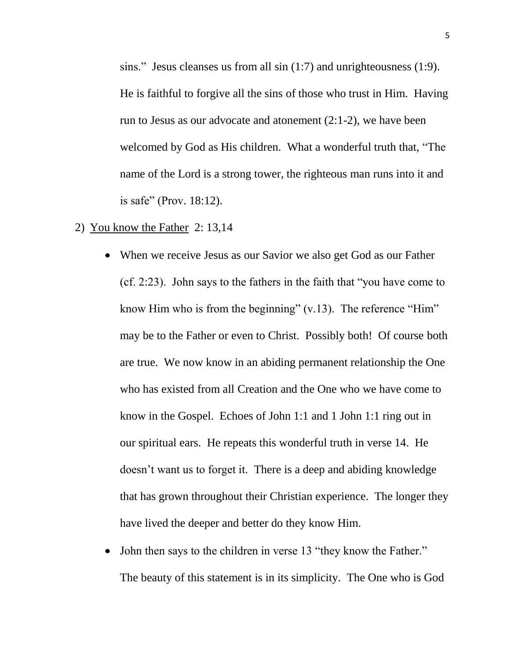sins." Jesus cleanses us from all sin (1:7) and unrighteousness (1:9). He is faithful to forgive all the sins of those who trust in Him. Having run to Jesus as our advocate and atonement (2:1-2), we have been welcomed by God as His children. What a wonderful truth that, "The name of the Lord is a strong tower, the righteous man runs into it and is safe" (Prov. 18:12).

- 2) You know the Father 2: 13,14
	- When we receive Jesus as our Savior we also get God as our Father (cf. 2:23). John says to the fathers in the faith that "you have come to know Him who is from the beginning"  $(v.13)$ . The reference "Him" may be to the Father or even to Christ. Possibly both! Of course both are true. We now know in an abiding permanent relationship the One who has existed from all Creation and the One who we have come to know in the Gospel. Echoes of John 1:1 and 1 John 1:1 ring out in our spiritual ears. He repeats this wonderful truth in verse 14. He doesn't want us to forget it. There is a deep and abiding knowledge that has grown throughout their Christian experience. The longer they have lived the deeper and better do they know Him.
	- John then says to the children in verse 13 "they know the Father."  $\bullet$ The beauty of this statement is in its simplicity. The One who is God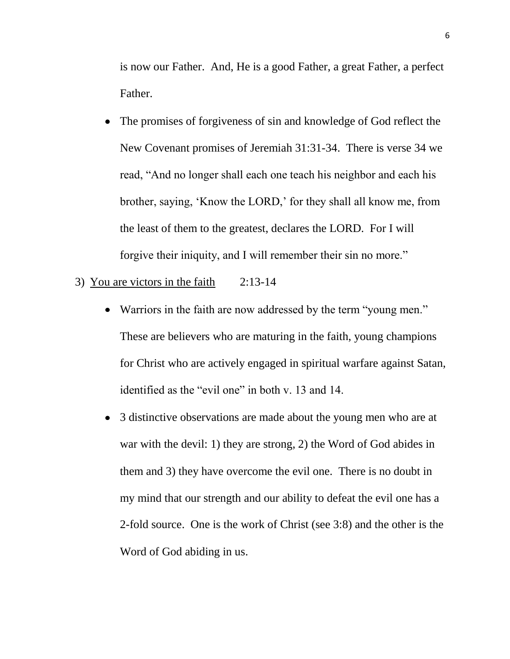is now our Father. And, He is a good Father, a great Father, a perfect Father.

- The promises of forgiveness of sin and knowledge of God reflect the New Covenant promises of Jeremiah 31:31-34. There is verse 34 we read, "And no longer shall each one teach his neighbor and each his brother, saying, 'Know the LORD,' for they shall all know me, from the least of them to the greatest, declares the LORD. For I will forgive their iniquity, and I will remember their sin no more."
- 3) You are victors in the faith 2:13-14
	- Warriors in the faith are now addressed by the term "young men." These are believers who are maturing in the faith, young champions for Christ who are actively engaged in spiritual warfare against Satan, identified as the "evil one" in both v. 13 and 14.
	- 3 distinctive observations are made about the young men who are at war with the devil: 1) they are strong, 2) the Word of God abides in them and 3) they have overcome the evil one. There is no doubt in my mind that our strength and our ability to defeat the evil one has a 2-fold source. One is the work of Christ (see 3:8) and the other is the Word of God abiding in us.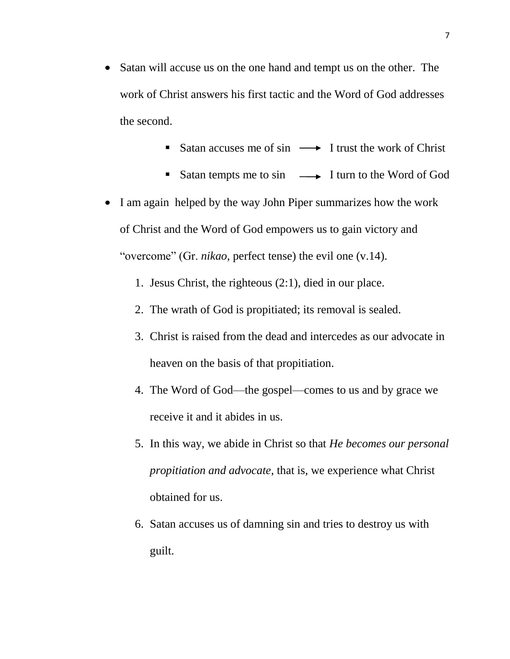- Satan will accuse us on the one hand and tempt us on the other. The work of Christ answers his first tactic and the Word of God addresses the second.
	- Satan accuses me of sin  $\longrightarrow$  I trust the work of Christ
	- Satan tempts me to sin  $\longrightarrow$  I turn to the Word of God
- I am again helped by the way John Piper summarizes how the work of Christ and the Word of God empowers us to gain victory and "overcome" (Gr. *nikao*, perfect tense) the evil one (v.14).
	- 1. Jesus Christ, the righteous (2:1), died in our place.
	- 2. The wrath of God is propitiated; its removal is sealed.
	- 3. Christ is raised from the dead and intercedes as our advocate in heaven on the basis of that propitiation.
	- 4. The Word of God—the gospel—comes to us and by grace we receive it and it abides in us.
	- 5. In this way, we abide in Christ so that *He becomes our personal propitiation and advocate*, that is, we experience what Christ obtained for us.
	- 6. Satan accuses us of damning sin and tries to destroy us with guilt.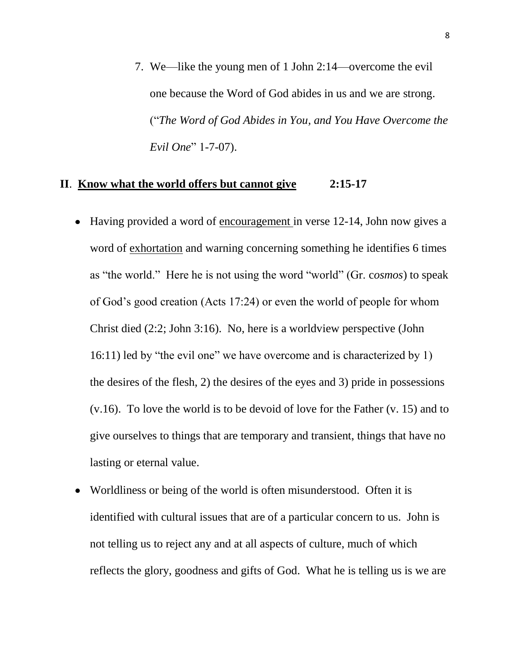7. We—like the young men of 1 John 2:14—overcome the evil one because the Word of God abides in us and we are strong. ("*The Word of God Abides in You, and You Have Overcome the Evil One*" 1-7-07).

## **II**. **Know what the world offers but cannot give 2:15-17**

- Having provided a word of encouragement in verse 12-14, John now gives a word of exhortation and warning concerning something he identifies 6 times as "the world." Here he is not using the word "world" (Gr. c*osmos*) to speak of God's good creation (Acts 17:24) or even the world of people for whom Christ died (2:2; John 3:16). No, here is a worldview perspective (John 16:11) led by "the evil one" we have overcome and is characterized by 1) the desires of the flesh, 2) the desires of the eyes and 3) pride in possessions (v.16). To love the world is to be devoid of love for the Father (v. 15) and to give ourselves to things that are temporary and transient, things that have no lasting or eternal value.
- Worldliness or being of the world is often misunderstood. Often it is identified with cultural issues that are of a particular concern to us. John is not telling us to reject any and at all aspects of culture, much of which reflects the glory, goodness and gifts of God. What he is telling us is we are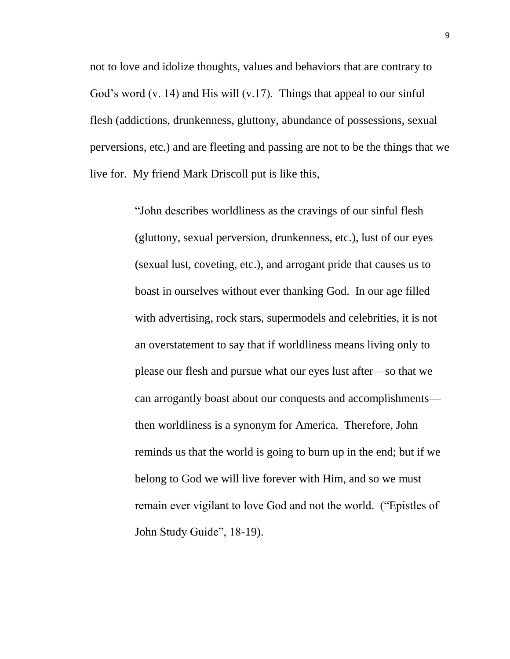not to love and idolize thoughts, values and behaviors that are contrary to God's word (v. 14) and His will (v.17). Things that appeal to our sinful flesh (addictions, drunkenness, gluttony, abundance of possessions, sexual perversions, etc.) and are fleeting and passing are not to be the things that we live for. My friend Mark Driscoll put is like this,

> "John describes worldliness as the cravings of our sinful flesh (gluttony, sexual perversion, drunkenness, etc.), lust of our eyes (sexual lust, coveting, etc.), and arrogant pride that causes us to boast in ourselves without ever thanking God. In our age filled with advertising, rock stars, supermodels and celebrities, it is not an overstatement to say that if worldliness means living only to please our flesh and pursue what our eyes lust after—so that we can arrogantly boast about our conquests and accomplishments then worldliness is a synonym for America. Therefore, John reminds us that the world is going to burn up in the end; but if we belong to God we will live forever with Him, and so we must remain ever vigilant to love God and not the world. ("Epistles of John Study Guide", 18-19).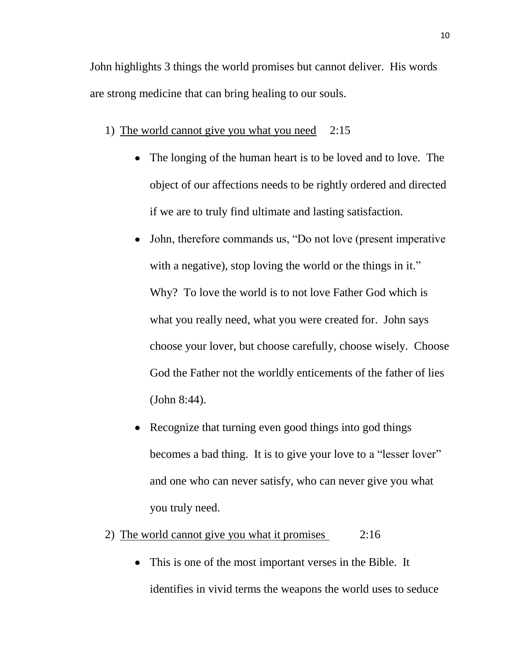John highlights 3 things the world promises but cannot deliver. His words are strong medicine that can bring healing to our souls.

- 1) The world cannot give you what you need 2:15
	- The longing of the human heart is to be loved and to love. The object of our affections needs to be rightly ordered and directed if we are to truly find ultimate and lasting satisfaction.
	- John, therefore commands us, "Do not love (present imperative with a negative), stop loving the world or the things in it." Why? To love the world is to not love Father God which is what you really need, what you were created for. John says choose your lover, but choose carefully, choose wisely. Choose God the Father not the worldly enticements of the father of lies (John 8:44).
	- Recognize that turning even good things into god things becomes a bad thing. It is to give your love to a "lesser lover" and one who can never satisfy, who can never give you what you truly need.
- 2) The world cannot give you what it promises 2:16
	- This is one of the most important verses in the Bible. It identifies in vivid terms the weapons the world uses to seduce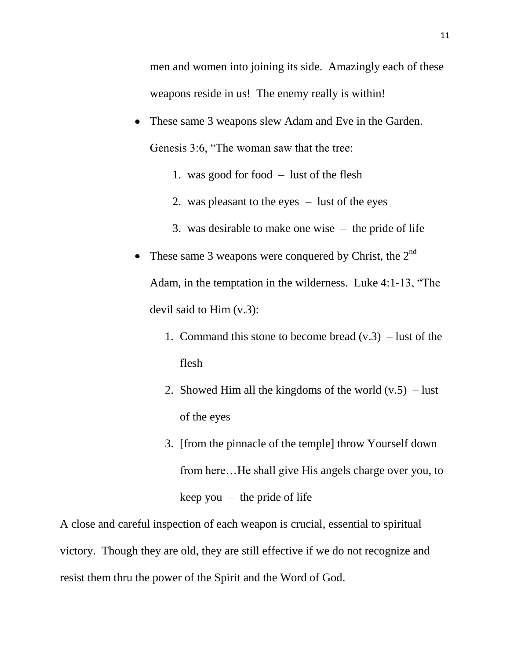men and women into joining its side. Amazingly each of these weapons reside in us! The enemy really is within!

- These same 3 weapons slew Adam and Eve in the Garden. Genesis 3:6, "The woman saw that the tree:
	- 1. was good for food lust of the flesh
	- 2. was pleasant to the eyes lust of the eyes
	- 3. was desirable to make one wise the pride of life
- These same 3 weapons were conquered by Christ, the  $2^{nd}$ Adam, in the temptation in the wilderness. Luke 4:1-13, "The devil said to Him (v.3):
	- 1. Command this stone to become bread  $(v.3)$  lust of the flesh
	- 2. Showed Him all the kingdoms of the world  $(v.5)$  lust of the eyes
	- 3. [from the pinnacle of the temple] throw Yourself down from here…He shall give His angels charge over you, to keep you  $-$  the pride of life

A close and careful inspection of each weapon is crucial, essential to spiritual victory. Though they are old, they are still effective if we do not recognize and resist them thru the power of the Spirit and the Word of God.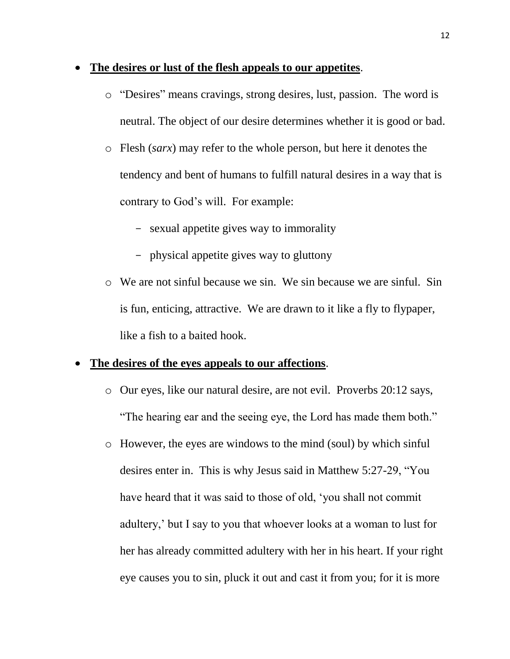#### **The desires or lust of the flesh appeals to our appetites**.

- o "Desires" means cravings, strong desires, lust, passion. The word is neutral. The object of our desire determines whether it is good or bad.
- o Flesh (*sarx*) may refer to the whole person, but here it denotes the tendency and bent of humans to fulfill natural desires in a way that is contrary to God's will. For example:
	- sexual appetite gives way to immorality
	- physical appetite gives way to gluttony
- o We are not sinful because we sin. We sin because we are sinful. Sin is fun, enticing, attractive. We are drawn to it like a fly to flypaper, like a fish to a baited hook.

#### **The desires of the eyes appeals to our affections**.

- o Our eyes, like our natural desire, are not evil. Proverbs 20:12 says, "The hearing ear and the seeing eye, the Lord has made them both."
- o However, the eyes are windows to the mind (soul) by which sinful desires enter in. This is why Jesus said in Matthew 5:27-29, "You have heard that it was said to those of old, 'you shall not commit adultery,' but I say to you that whoever looks at a woman to lust for her has already committed adultery with her in his heart. If your right eye causes you to sin, pluck it out and cast it from you; for it is more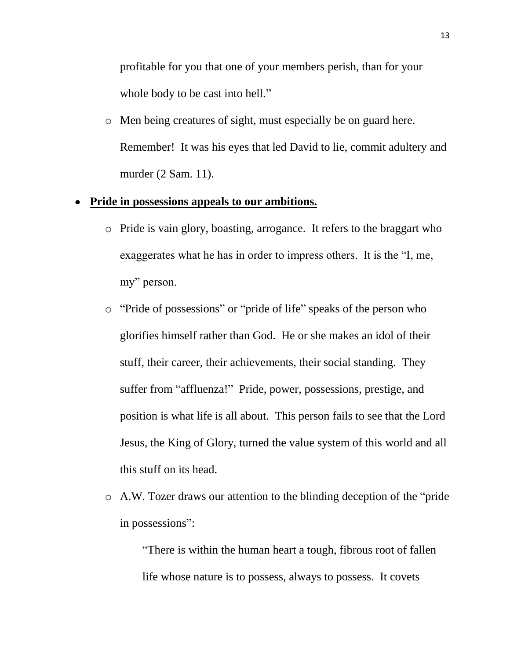profitable for you that one of your members perish, than for your whole body to be cast into hell."

o Men being creatures of sight, must especially be on guard here. Remember! It was his eyes that led David to lie, commit adultery and murder (2 Sam. 11).

## **Pride in possessions appeals to our ambitions.**

- o Pride is vain glory, boasting, arrogance. It refers to the braggart who exaggerates what he has in order to impress others. It is the "I, me, my" person.
- o "Pride of possessions" or "pride of life" speaks of the person who glorifies himself rather than God. He or she makes an idol of their stuff, their career, their achievements, their social standing. They suffer from "affluenza!" Pride, power, possessions, prestige, and position is what life is all about. This person fails to see that the Lord Jesus, the King of Glory, turned the value system of this world and all this stuff on its head.
- o A.W. Tozer draws our attention to the blinding deception of the "pride in possessions":

"There is within the human heart a tough, fibrous root of fallen life whose nature is to possess, always to possess. It covets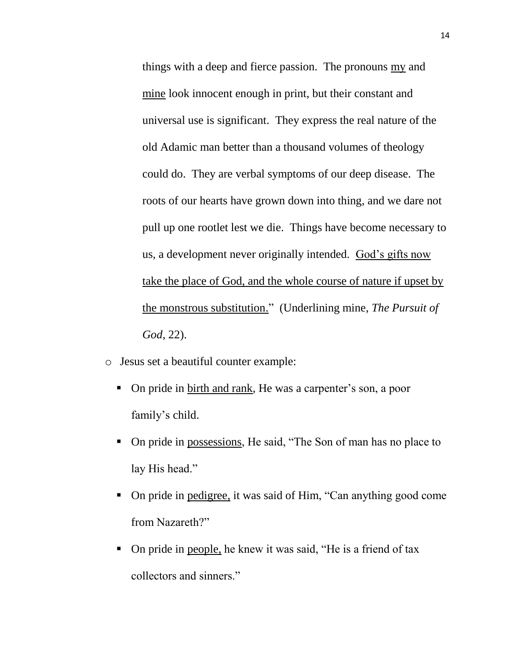things with a deep and fierce passion. The pronouns my and mine look innocent enough in print, but their constant and universal use is significant. They express the real nature of the old Adamic man better than a thousand volumes of theology could do. They are verbal symptoms of our deep disease. The roots of our hearts have grown down into thing, and we dare not pull up one rootlet lest we die. Things have become necessary to us, a development never originally intended. God's gifts now take the place of God, and the whole course of nature if upset by the monstrous substitution." (Underlining mine, *The Pursuit of God*, 22).

- o Jesus set a beautiful counter example:
	- On pride in birth and rank, He was a carpenter's son, a poor family's child.
	- On pride in possessions, He said, "The Son of man has no place to lay His head."
	- On pride in pedigree, it was said of Him, "Can anything good come from Nazareth?"
	- On pride in people, he knew it was said, "He is a friend of tax collectors and sinners."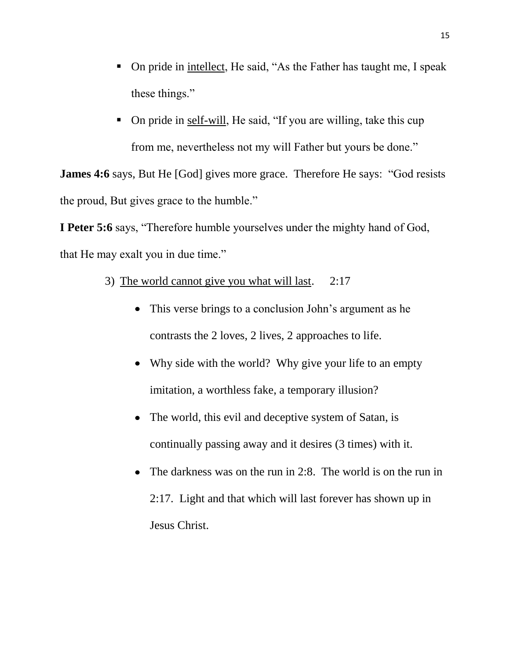- On pride in intellect, He said, "As the Father has taught me, I speak these things."
- On pride in self-will, He said, "If you are willing, take this cup from me, nevertheless not my will Father but yours be done."

**James 4:6** says, But He [God] gives more grace. Therefore He says: "God resists the proud, But gives grace to the humble."

**I Peter 5:6** says, "Therefore humble yourselves under the mighty hand of God, that He may exalt you in due time."

- 3) The world cannot give you what will last. 2:17
	- This verse brings to a conclusion John's argument as he contrasts the 2 loves, 2 lives, 2 approaches to life.
	- Why side with the world? Why give your life to an empty imitation, a worthless fake, a temporary illusion?
	- The world, this evil and deceptive system of Satan, is continually passing away and it desires (3 times) with it.
	- The darkness was on the run in 2:8. The world is on the run in 2:17. Light and that which will last forever has shown up in Jesus Christ.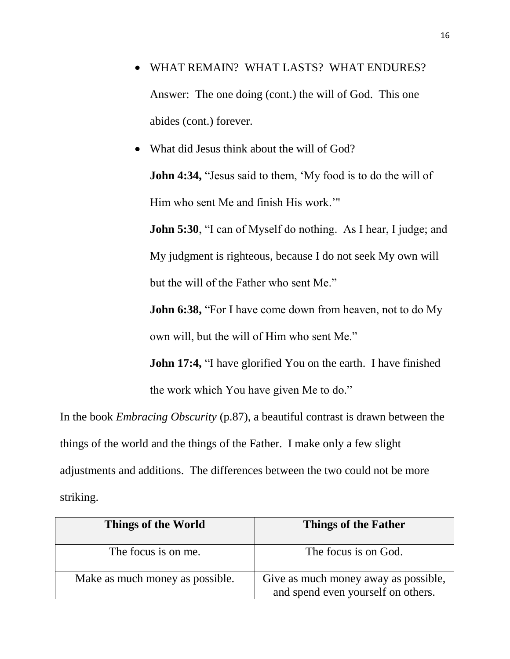- WHAT REMAIN? WHAT LASTS? WHAT ENDURES? Answer: The one doing (cont.) the will of God. This one abides (cont.) forever.
- What did Jesus think about the will of God? **John 4:34,** "Jesus said to them, 'My food is to do the will of Him who sent Me and finish His work.'"

**John 5:30.** "I can of Myself do nothing. As I hear, I judge; and My judgment is righteous, because I do not seek My own will but the will of the Father who sent Me."

**John 6:38, "For I have come down from heaven, not to do My** own will, but the will of Him who sent Me."

**John 17:4,** "I have glorified You on the earth. I have finished the work which You have given Me to do."

In the book *Embracing Obscurity* (p.87), a beautiful contrast is drawn between the things of the world and the things of the Father. I make only a few slight adjustments and additions. The differences between the two could not be more striking.

| Things of the World             | Things of the Father                                                       |
|---------------------------------|----------------------------------------------------------------------------|
| The focus is on me.             | The focus is on God.                                                       |
| Make as much money as possible. | Give as much money away as possible,<br>and spend even yourself on others. |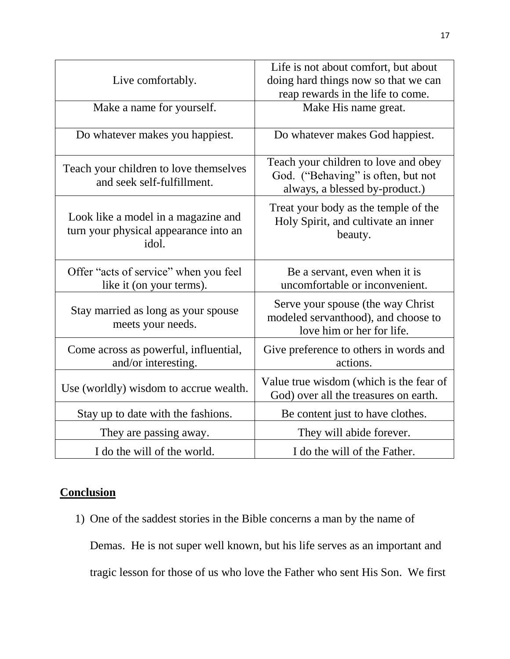|                                                                                       | Life is not about comfort, but about                                                                         |
|---------------------------------------------------------------------------------------|--------------------------------------------------------------------------------------------------------------|
| Live comfortably.                                                                     | doing hard things now so that we can                                                                         |
|                                                                                       | reap rewards in the life to come.                                                                            |
| Make a name for yourself.                                                             | Make His name great.                                                                                         |
| Do whatever makes you happiest.                                                       | Do whatever makes God happiest.                                                                              |
| Teach your children to love themselves<br>and seek self-fulfillment.                  | Teach your children to love and obey<br>God. ("Behaving" is often, but not<br>always, a blessed by-product.) |
| Look like a model in a magazine and<br>turn your physical appearance into an<br>idol. | Treat your body as the temple of the<br>Holy Spirit, and cultivate an inner<br>beauty.                       |
| Offer "acts of service" when you feel<br>like it (on your terms).                     | Be a servant, even when it is<br>uncomfortable or inconvenient.                                              |
| Stay married as long as your spouse<br>meets your needs.                              | Serve your spouse (the way Christ<br>modeled servanthood), and choose to<br>love him or her for life.        |
| Come across as powerful, influential,<br>and/or interesting.                          | Give preference to others in words and<br>actions.                                                           |
| Use (worldly) wisdom to accrue wealth.                                                | Value true wisdom (which is the fear of<br>God) over all the treasures on earth.                             |
| Stay up to date with the fashions.                                                    | Be content just to have clothes.                                                                             |
| They are passing away.                                                                | They will abide forever.                                                                                     |
| I do the will of the world.                                                           | I do the will of the Father.                                                                                 |

# **Conclusion**

1) One of the saddest stories in the Bible concerns a man by the name of

Demas. He is not super well known, but his life serves as an important and tragic lesson for those of us who love the Father who sent His Son. We first